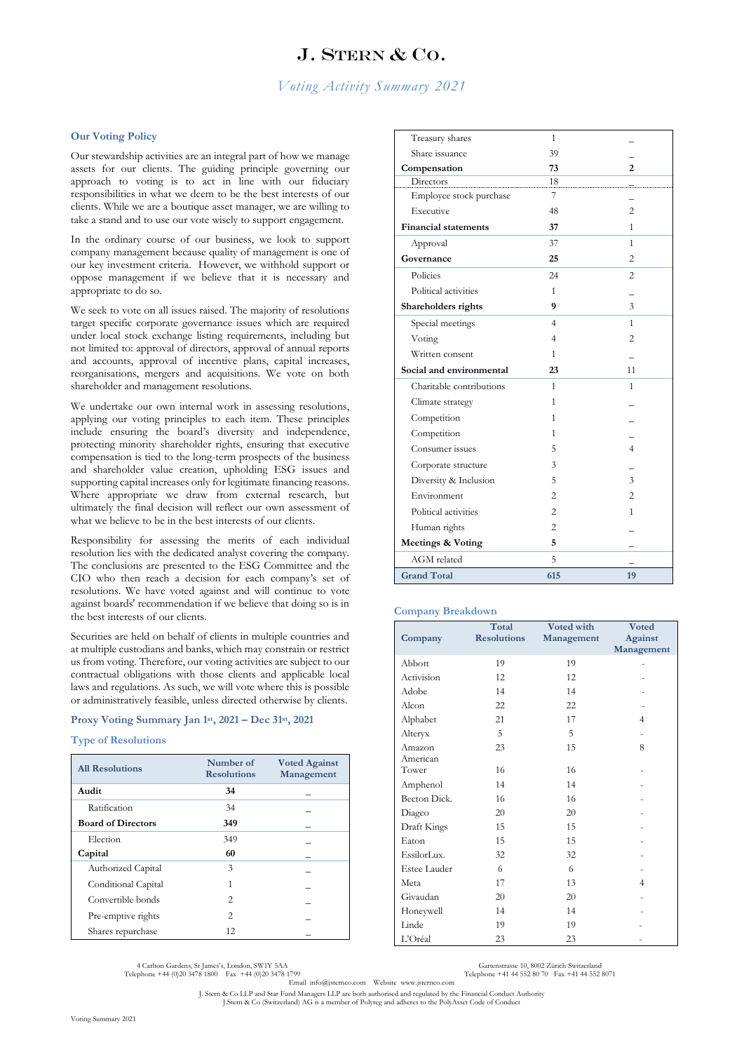# J. STERN & CO.

## *Voting Activity Summary 2021*

### **Our Voting Policy**

Our stewardship activities are an integral part of how we manage assets for our clients. The guiding principle governing our approach to voting is to act in line with our fiduciary responsibilities in what we deem to be the best interests of our clients. While we are a boutique asset manager, we are willing to take a stand and to use our vote wisely to support engagement.

In the ordinary course of our business, we look to support company management because quality of management is one of our key investment criteria. However, we withhold support or oppose management if we believe that it is necessary and appropriate to do so.

We seek to vote on all issues raised. The majority of resolutions target specific corporate governance issues which are required under local stock exchange listing requirements, including but not limited to: approval of directors, approval of annual reports and accounts, approval of incentive plans, capital increases, reorganisations, mergers and acquisitions. We vote on both shareholder and management resolutions.

We undertake our own internal work in assessing resolutions, applying our voting principles to each item. These principles include ensuring the board's diversity and independence, protecting minority shareholder rights, ensuring that executive compensation is tied to the long-term prospects of the business and shareholder value creation, upholding ESG issues and supporting capital increases only for legitimate financing reasons. Where appropriate we draw from external research, but ultimately the final decision will reflect our own assessment of what we believe to be in the best interests of our clients.

Responsibility for assessing the merits of each individual resolution lies with the dedicated analyst covering the company. The conclusions are presented to the ESG Committee and the CIO who then reach a decision for each company's set of resolutions. We have voted against and will continue to vote against boards' recommendation if we believe that doing so is in the best interests of our clients.

Securities are held on behalf of clients in multiple countries and at multiple custodians and banks, which may constrain or restrict us from voting. Therefore, our voting activities are subject to our contractual obligations with those clients and applicable local laws and regulations. As such, we will vote where this is possible or administratively feasible, unless directed otherwise by clients.

#### **Proxy Voting Summary Jan 1st, 2021 – Dec 31st, 2021**

#### **Type of Resolutions**

| <b>All Resolutions</b>    | Number of<br><b>Resolutions</b> | <b>Voted Against</b><br>Management |
|---------------------------|---------------------------------|------------------------------------|
| Audit                     | 34                              |                                    |
| Ratification              | 34                              |                                    |
| <b>Board of Directors</b> | 349                             |                                    |
| Election                  | 349                             |                                    |
| Capital                   | 60                              |                                    |
| Authorized Capital        | 3                               |                                    |
| Conditional Capital       |                                 |                                    |
| Convertible bonds         | $\mathfrak{D}$                  |                                    |
| Pre-emptive rights        | $\mathfrak{D}$                  |                                    |
| Shares repurchase         | 12                              |                                    |

| Treasury shares              | 1              |                |
|------------------------------|----------------|----------------|
| Share issuance               | 39             |                |
| Compensation                 | 73             | 2              |
| Directors                    | 18             |                |
| Employee stock purchase      | 7              |                |
| Executive                    | 48             | $\overline{c}$ |
| <b>Financial statements</b>  | 37             | 1              |
| Approval                     | 37             | 1              |
| Governance                   | 25             | $\overline{c}$ |
| Policies                     | 24             | 2              |
| Political activities         | 1              |                |
| Shareholders rights          | 9              | 3              |
| Special meetings             | 4              | 1              |
| Voting                       | 4              | $\overline{c}$ |
| Written consent              | 1              |                |
| Social and environmental     | 23             | 11             |
| Charitable contributions     | 1              | 1              |
| Climate strategy             | 1              |                |
| Competition                  | 1              |                |
| Competition                  | 1              |                |
| Consumer issues              | 5              | 4              |
| Corporate structure          | 3              |                |
| Diversity & Inclusion        | 5              | 3              |
| Environment                  | 2              | 2              |
| Political activities         | 2              | 1              |
| Human rights                 | $\overline{c}$ |                |
| <b>Meetings &amp; Voting</b> | 5              |                |
| AGM related                  | 5              |                |
|                              |                |                |

#### **Company Breakdown**

|              | Total              | Voted with | <b>Voted</b>   |
|--------------|--------------------|------------|----------------|
| Company      | <b>Resolutions</b> | Management | Against        |
|              |                    |            | Management     |
| Abbott       | 19                 | 19         |                |
| Activision   | 12                 | 12         |                |
| Adobe        | 14                 | 14         |                |
| Alcon        | 22                 | 22         |                |
| Alphabet     | 21                 | 17         | $\overline{4}$ |
| Alteryx      | 5                  | 5          |                |
| Amazon       | 23                 | 15         | 8              |
| American     |                    |            |                |
| Tower        | 16                 | 16         |                |
| Amphenol     | 14                 | 14         |                |
| Becton Dick. | 16                 | 16         |                |
| Diageo       | 20                 | 20         |                |
| Draft Kings  | 15                 | 15         |                |
| Eaton        | 15                 | 15         |                |
| EssilorLux.  | 32                 | 32         |                |
| Estee Lauder | 6                  | 6          |                |
| Meta         | 17                 | 13         | $\overline{4}$ |
| Givaudan     | 20                 | 20         |                |
| Honeywell    | 14                 | 14         |                |
| Linde        | 19                 | 19         |                |
| L'Oréal      | 23                 | 23         |                |

4 Carlton Gardens, St James's, London, SW1Y 5AA Gartenstrasse 10, 8002 Zürich Switzerland<br>Telephone +44 (0)20 3478 1800 Fax +44 (0)20 3478 1799 Telephone +41 44 552 80 70 Fax +41 44 552 8071

Email info@jsternco.com Website www.jsternco.com

J. Stern & Co LLP and Star Fund Managers LLP are both authorised and regulated by the Financial Conduct Authority J.Stern & Co (Switzerland) AG is a member of Polyreg and adheres to the PolyAsset Code of Conduct